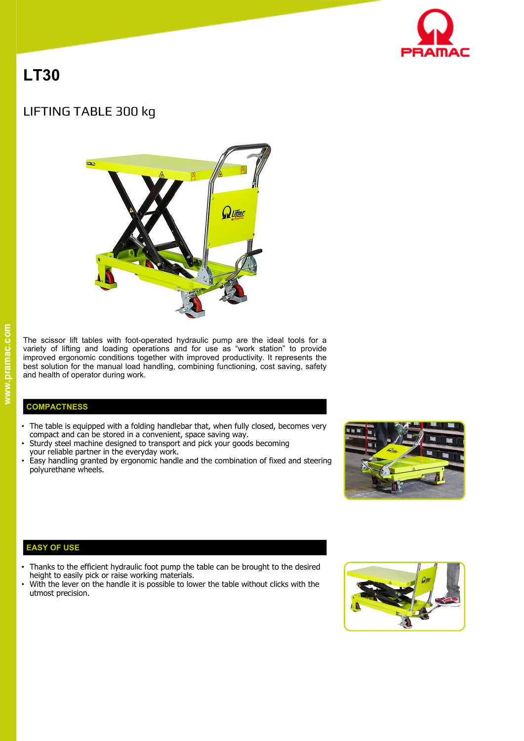

# **LT30**

# LIFTING TABLE 300 kg



The scissor lift tables with foot-operated hydraulic pump are the ideal tools for a variety of lifting and loading operations and for use as "work station" to provide improved ergonomic conditions together with improved productivity. It represents the best solution for the manual load handling, combining functioning, cost saving, safety and health of operator during work.

## **COMPACTNESS**

- The table is equipped with a folding handlebar that, when fully closed, becomes very compact and can be stored in a convenient, space saving way.
- Sturdy steel machine designed to transport and pick your goods becoming
- your reliable partner in the everyday work.
- Easy handling granted by ergonomic handle and the combination of fixed and steering polyurethane wheels.



#### **EASY OF USE**

- Thanks to the efficient hydraulic foot pump the table can be brought to the desired height to easily pick or raise working materials.
- With the lever on the handle it is possible to lower the table without clicks with the utmost precision.